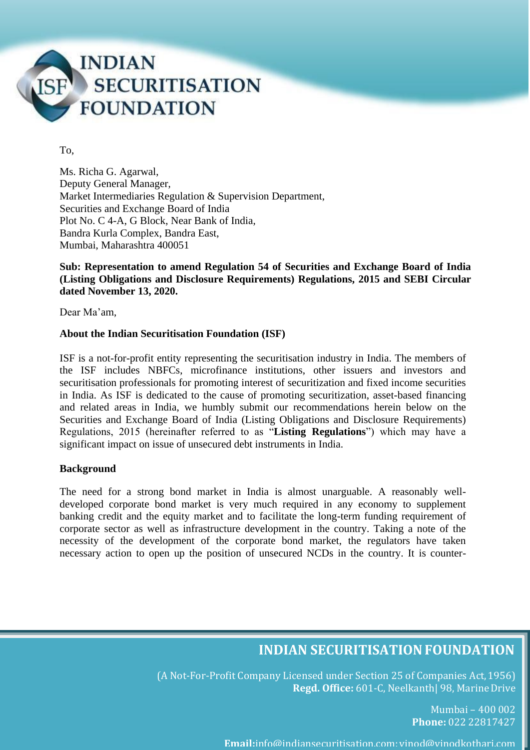

To,

Ms. Richa G. Agarwal, Deputy General Manager, Market Intermediaries Regulation & Supervision Department, Securities and Exchange Board of India Plot No. C 4-A, G Block, Near Bank of India, Bandra Kurla Complex, Bandra East, Mumbai, Maharashtra 400051

# **Sub: Representation to amend Regulation 54 of Securities and Exchange Board of India (Listing Obligations and Disclosure Requirements) Regulations, 2015 and SEBI Circular dated November 13, 2020.**

Dear Ma'am,

### **About the Indian Securitisation Foundation (ISF)**

ISF is a not-for-profit entity representing the securitisation industry in India. The members of the ISF includes NBFCs, microfinance institutions, other issuers and investors and securitisation professionals for promoting interest of securitization and fixed income securities in India. As ISF is dedicated to the cause of promoting securitization, asset-based financing and related areas in India, we humbly submit our recommendations herein below on the Securities and Exchange Board of India (Listing Obligations and Disclosure Requirements) Regulations, 2015 (hereinafter referred to as "**Listing Regulations**") which may have a significant impact on issue of unsecured debt instruments in India.

### **Background**

The need for a strong bond market in India is almost unarguable. A reasonably welldeveloped corporate bond market is very much required in any economy to supplement banking credit and the equity market and to facilitate the long-term funding requirement of corporate sector as well as infrastructure development in the country. Taking a note of the necessity of the development of the corporate bond market, the regulators have taken necessary action to open up the position of unsecured NCDs in the country. It is counter-

# **INDIAN SECURITISATIONFOUNDATION**

(A Not-For-Profit Company Licensed under Section 25 of Companies Act,1956) **Regd. Office:** 601-C, Neelkanth| 98, Marine Drive

> Mumbai – 400 002 **Phone:** 022 22817427

**Email:**info@indiansecuritisation.com; [vinod@vinodkothari.com](mailto:vinod@vinodkothari.com)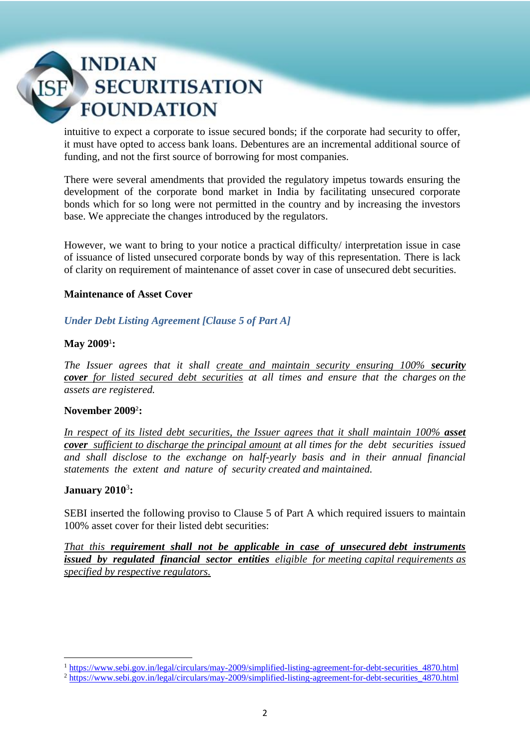intuitive to expect a corporate to issue secured bonds; if the corporate had security to offer, it must have opted to access bank loans. Debentures are an incremental additional source of funding, and not the first source of borrowing for most companies.

There were several amendments that provided the regulatory impetus towards ensuring the development of the corporate bond market in India by facilitating unsecured corporate bonds which for so long were not permitted in the country and by increasing the investors base. We appreciate the changes introduced by the regulators.

However, we want to bring to your notice a practical difficulty/ interpretation issue in case of issuance of listed unsecured corporate bonds by way of this representation. There is lack of clarity on requirement of maintenance of asset cover in case of unsecured debt securities.

# **Maintenance of Asset Cover**

# *Under Debt Listing Agreement [Clause 5 of Part A]*

### **May 2009**<sup>1</sup> **:**

*The Issuer agrees that it shall create and maintain security ensuring 100% security cover for listed secured debt securities at all times and ensure that the charges on the assets are registered.* 

### **November 2009**<sup>2</sup> **:**

*In respect of its listed debt securities, the Issuer agrees that it shall maintain 100% asset cover sufficient to discharge the principal amount at all times for the debt securities issued and shall disclose to the exchange on half-yearly basis and in their annual financial statements the extent and nature of security created and maintained.*

# **January 2010**<sup>3</sup> **:**

SEBI inserted the following proviso to Clause 5 of Part A which required issuers to maintain 100% asset cover for their listed debt securities:

*That this requirement shall not be applicable in case of unsecured debt instruments issued by regulated financial sector entities eligible for meeting capital requirements as specified by respective regulators.* 

**<sup>.</sup>** <sup>1</sup> [https://www.sebi.gov.in/legal/circulars/may-2009/simplified-listing-agreement-for-debt-securities\\_4870.html](https://www.sebi.gov.in/legal/circulars/may-2009/simplified-listing-agreement-for-debt-securities_4870.html)

<sup>2</sup> [https://www.sebi.gov.in/legal/circulars/may-2009/simplified-listing-agreement-for-debt-securities\\_4870.html](https://www.sebi.gov.in/legal/circulars/may-2009/simplified-listing-agreement-for-debt-securities_4870.html)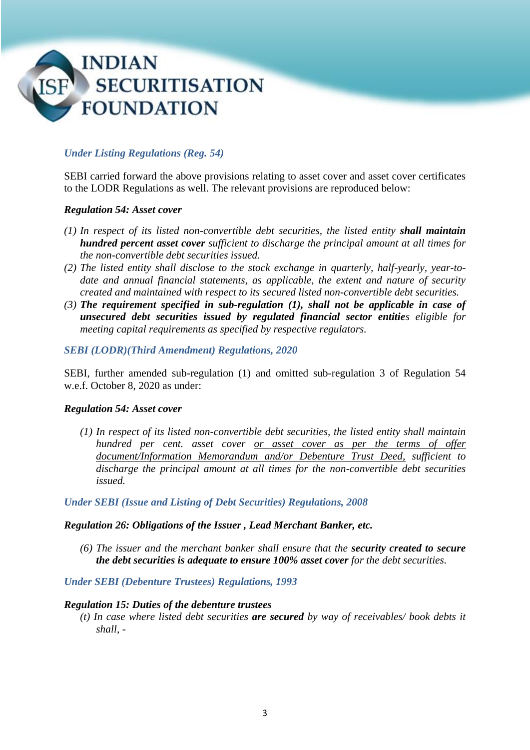

# *Under Listing Regulations (Reg. 54)*

SEBI carried forward the above provisions relating to asset cover and asset cover certificates to the LODR Regulations as well. The relevant provisions are reproduced below:

### *Regulation 54: Asset cover*

- *(1) In respect of its listed non-convertible debt securities, the listed entity shall maintain hundred percent asset cover sufficient to discharge the principal amount at all times for the non-convertible debt securities issued.*
- *(2) The listed entity shall disclose to the stock exchange in quarterly, half-yearly, year-todate and annual financial statements, as applicable, the extent and nature of security created and maintained with respect to its secured listed non-convertible debt securities.*
- *(3) The requirement specified in sub-regulation (1), shall not be applicable in case of unsecured debt securities issued by regulated financial sector entities eligible for meeting capital requirements as specified by respective regulators.*

### *SEBI (LODR)(Third Amendment) Regulations, 2020*

SEBI, further amended sub-regulation (1) and omitted sub-regulation 3 of Regulation 54 w.e.f. October 8, 2020 as under:

### *Regulation 54: Asset cover*

*(1) In respect of its listed non-convertible debt securities, the listed entity shall maintain hundred per cent. asset cover or asset cover as per the terms of offer document/Information Memorandum and/or Debenture Trust Deed, sufficient to discharge the principal amount at all times for the non-convertible debt securities issued.*

*Under SEBI (Issue and Listing of Debt Securities) Regulations, 2008* 

### *Regulation 26: Obligations of the Issuer , Lead Merchant Banker, etc.*

*(6) The issuer and the merchant banker shall ensure that the security created to secure the debt securities is adequate to ensure 100% asset cover for the debt securities.*

*Under SEBI (Debenture Trustees) Regulations, 1993*

### *Regulation 15: Duties of the debenture trustees*

*(t) In case where listed debt securities are secured by way of receivables/ book debts it shall, -*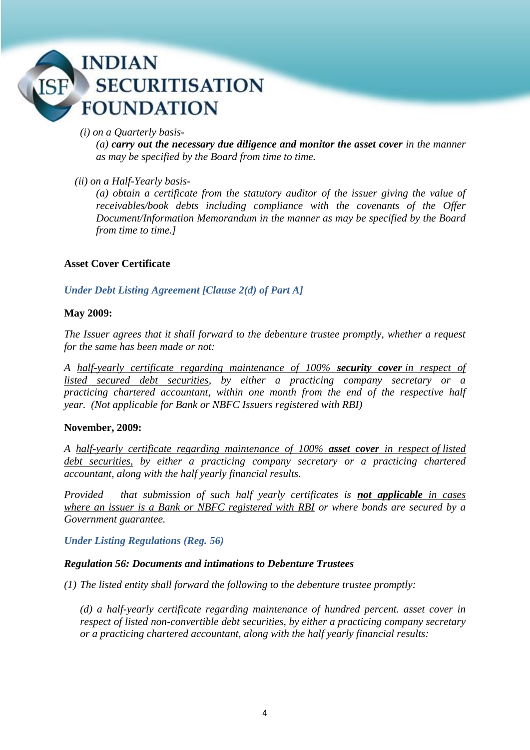### *(i) on a Quarterly basis-*

*(a) carry out the necessary due diligence and monitor the asset cover in the manner as may be specified by the Board from time to time.* 

# *(ii) on a Half-Yearly basis-*

*(a) obtain a certificate from the statutory auditor of the issuer giving the value of receivables/book debts including compliance with the covenants of the Offer Document/Information Memorandum in the manner as may be specified by the Board from time to time.]* 

# **Asset Cover Certificate**

# *Under Debt Listing Agreement [Clause 2(d) of Part A]*

### **May 2009:**

*The Issuer agrees that it shall forward to the debenture trustee promptly, whether a request for the same has been made or not:*

*A half-yearly certificate regarding maintenance of 100% security cover in respect of listed secured debt securities, by either a practicing company secretary or a practicing chartered accountant, within one month from the end of the respective half year. (Not applicable for Bank or NBFC Issuers registered with RBI)*

### **November, 2009:**

*A half-yearly certificate regarding maintenance of 100% asset cover in respect of listed debt securities, by either a practicing company secretary or a practicing chartered accountant, along with the half yearly financial results.* 

*Provided that submission of such half yearly certificates is not applicable in cases where an issuer is a Bank or NBFC registered with RBI or where bonds are secured by a Government guarantee.*

*Under Listing Regulations (Reg. 56)*

### *Regulation 56: Documents and intimations to Debenture Trustees*

*(1) The listed entity shall forward the following to the debenture trustee promptly:* 

*(d) a half-yearly certificate regarding maintenance of hundred percent. asset cover in respect of listed non-convertible debt securities, by either a practicing company secretary or a practicing chartered accountant, along with the half yearly financial results:*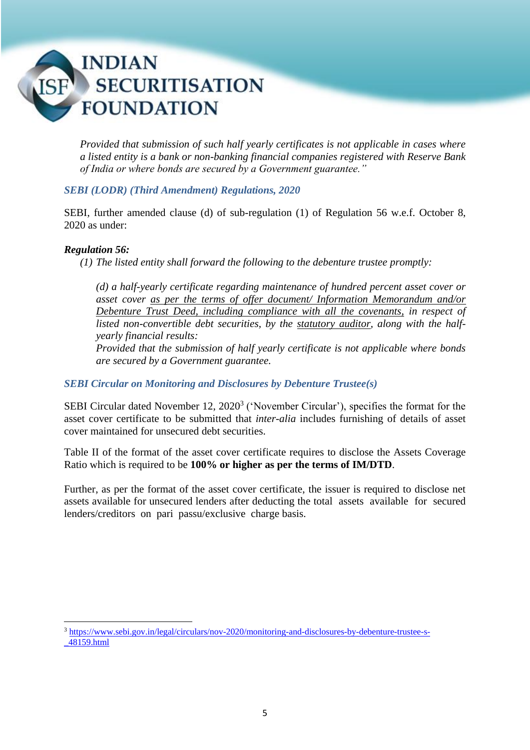*Provided that submission of such half yearly certificates is not applicable in cases where a listed entity is a bank or non-banking financial companies registered with Reserve Bank of India or where bonds are secured by a Government guarantee."* 

# *SEBI (LODR) (Third Amendment) Regulations, 2020*

SEBI, further amended clause (d) of sub-regulation (1) of Regulation 56 w.e.f. October 8, 2020 as under:

# *Regulation 56:*

**.** 

*(1) The listed entity shall forward the following to the debenture trustee promptly:* 

*(d) a half-yearly certificate regarding maintenance of hundred percent asset cover or asset cover as per the terms of offer document/ Information Memorandum and/or Debenture Trust Deed, including compliance with all the covenants, in respect of listed non-convertible debt securities, by the statutory auditor, along with the halfyearly financial results:* 

*Provided that the submission of half yearly certificate is not applicable where bonds are secured by a Government guarantee.*

*SEBI Circular on Monitoring and Disclosures by Debenture Trustee(s)*

SEBI Circular dated November  $12$ ,  $2020<sup>3</sup>$  ('November Circular'), specifies the format for the asset cover certificate to be submitted that *inter-alia* includes furnishing of details of asset cover maintained for unsecured debt securities.

Table II of the format of the asset cover certificate requires to disclose the Assets Coverage Ratio which is required to be **100% or higher as per the terms of IM/DTD**.

Further, as per the format of the asset cover certificate, the issuer is required to disclose net assets available for unsecured lenders after deducting the total assets available for secured lenders/creditors on pari passu/exclusive charge basis.

<sup>3</sup> [https://www.sebi.gov.in/legal/circulars/nov-2020/monitoring-and-disclosures-by-debenture-trustee-s-](https://www.sebi.gov.in/legal/circulars/nov-2020/monitoring-and-disclosures-by-debenture-trustee-s-_48159.html) [\\_48159.html](https://www.sebi.gov.in/legal/circulars/nov-2020/monitoring-and-disclosures-by-debenture-trustee-s-_48159.html)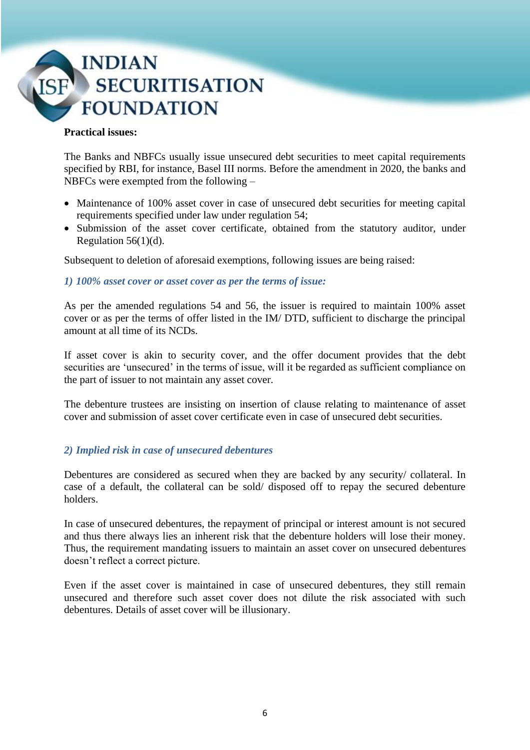### **Practical issues:**

The Banks and NBFCs usually issue unsecured debt securities to meet capital requirements specified by RBI, for instance, Basel III norms. Before the amendment in 2020, the banks and NBFCs were exempted from the following –

- Maintenance of 100% asset cover in case of unsecured debt securities for meeting capital requirements specified under law under regulation 54;
- Submission of the asset cover certificate, obtained from the statutory auditor, under Regulation  $56(1)(d)$ .

Subsequent to deletion of aforesaid exemptions, following issues are being raised:

*1) 100% asset cover or asset cover as per the terms of issue:*

As per the amended regulations 54 and 56, the issuer is required to maintain 100% asset cover or as per the terms of offer listed in the IM/ DTD, sufficient to discharge the principal amount at all time of its NCDs.

If asset cover is akin to security cover, and the offer document provides that the debt securities are 'unsecured' in the terms of issue, will it be regarded as sufficient compliance on the part of issuer to not maintain any asset cover.

The debenture trustees are insisting on insertion of clause relating to maintenance of asset cover and submission of asset cover certificate even in case of unsecured debt securities.

# *2) Implied risk in case of unsecured debentures*

Debentures are considered as secured when they are backed by any security/ collateral. In case of a default, the collateral can be sold/ disposed off to repay the secured debenture holders.

In case of unsecured debentures, the repayment of principal or interest amount is not secured and thus there always lies an inherent risk that the debenture holders will lose their money. Thus, the requirement mandating issuers to maintain an asset cover on unsecured debentures doesn't reflect a correct picture.

Even if the asset cover is maintained in case of unsecured debentures, they still remain unsecured and therefore such asset cover does not dilute the risk associated with such debentures. Details of asset cover will be illusionary.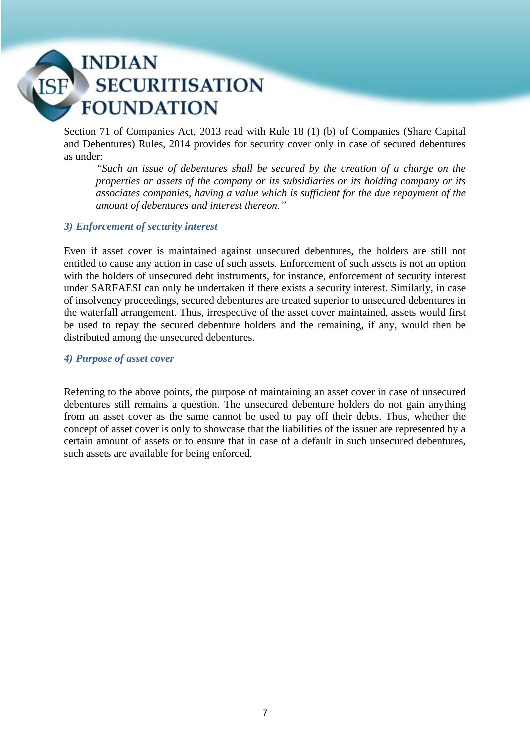Section 71 of Companies Act, 2013 read with Rule 18 (1) (b) of Companies (Share Capital and Debentures) Rules, 2014 provides for security cover only in case of secured debentures as under:

*"Such an issue of debentures shall be secured by the creation of a charge on the properties or assets of the company or its subsidiaries or its holding company or its associates companies, having a value which is sufficient for the due repayment of the amount of debentures and interest thereon."*

# *3) Enforcement of security interest*

Even if asset cover is maintained against unsecured debentures, the holders are still not entitled to cause any action in case of such assets. Enforcement of such assets is not an option with the holders of unsecured debt instruments, for instance, enforcement of security interest under SARFAESI can only be undertaken if there exists a security interest. Similarly, in case of insolvency proceedings, secured debentures are treated superior to unsecured debentures in the waterfall arrangement. Thus, irrespective of the asset cover maintained, assets would first be used to repay the secured debenture holders and the remaining, if any, would then be distributed among the unsecured debentures.

### *4) Purpose of asset cover*

Referring to the above points, the purpose of maintaining an asset cover in case of unsecured debentures still remains a question. The unsecured debenture holders do not gain anything from an asset cover as the same cannot be used to pay off their debts. Thus, whether the concept of asset cover is only to showcase that the liabilities of the issuer are represented by a certain amount of assets or to ensure that in case of a default in such unsecured debentures, such assets are available for being enforced.